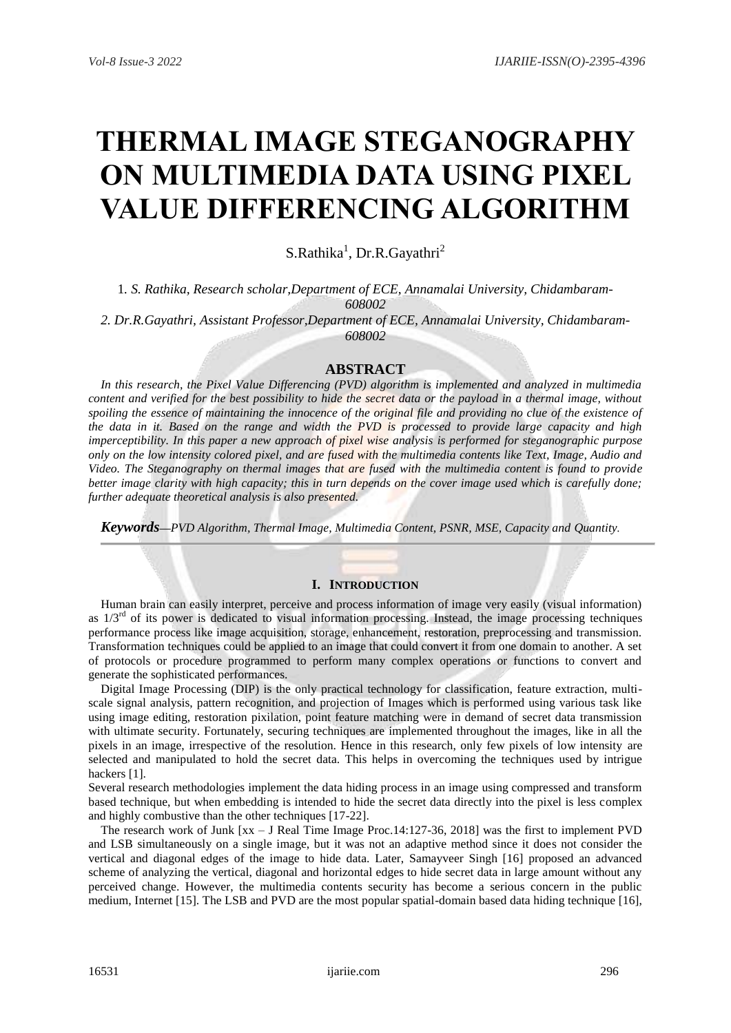# **THERMAL IMAGE STEGANOGRAPHY ON MULTIMEDIA DATA USING PIXEL VALUE DIFFERENCING ALGORITHM**

S.Rathika<sup>1</sup>, Dr.R.Gayathri<sup>2</sup>

1*. S. Rathika, Research scholar,Department of ECE, Annamalai University, Chidambaram-608002*

*2. Dr.R.Gayathri, Assistant Professor,Department of ECE, Annamalai University, Chidambaram-608002*

**ABSTRACT**

*In this research, the Pixel Value Differencing (PVD) algorithm is implemented and analyzed in multimedia content and verified for the best possibility to hide the secret data or the payload in a thermal image, without* spoiling the essence of maintaining the innocence of the original file and providing no clue of the existence of *the data in it. Based on the range and width the PVD is processed to provide large capacity and high imperceptibility. In this paper a new approach of pixel wise analysis is performed for steganographic purpose only on the low intensity colored pixel, and are fused with the multimedia contents like Text, Image, Audio and Video. The Steganography on thermal images that are fused with the multimedia content is found to provide better image clarity with high capacity; this in turn depends on the cover image used which is carefully done; further adequate theoretical analysis is also presented.*

*Keywords***—***PVD Algorithm, Thermal Image, Multimedia Content, PSNR, MSE, Capacity and Quantity.*

## **I. INTRODUCTION**

 Human brain can easily interpret, perceive and process information of image very easily (visual information) as  $1/3<sup>rd</sup>$  of its power is dedicated to visual information processing. Instead, the image processing techniques performance process like image acquisition, storage, enhancement, restoration, preprocessing and transmission. Transformation techniques could be applied to an image that could convert it from one domain to another. A set of protocols or procedure programmed to perform many complex operations or functions to convert and generate the sophisticated performances.

 Digital Image Processing (DIP) is the only practical technology for classification, feature extraction, multiscale signal analysis, pattern recognition, and projection of Images which is performed using various task like using image editing, restoration pixilation, point feature matching were in demand of secret data transmission with ultimate security. Fortunately, securing techniques are implemented throughout the images, like in all the pixels in an image, irrespective of the resolution. Hence in this research, only few pixels of low intensity are selected and manipulated to hold the secret data. This helps in overcoming the techniques used by intrigue hackers [1].

Several research methodologies implement the data hiding process in an image using compressed and transform based technique, but when embedding is intended to hide the secret data directly into the pixel is less complex and highly combustive than the other techniques [17-22].

The research work of Junk [xx – J Real Time Image Proc.14:127-36, 2018] was the first to implement PVD and LSB simultaneously on a single image, but it was not an adaptive method since it does not consider the vertical and diagonal edges of the image to hide data. Later, Samayveer Singh [16] proposed an advanced scheme of analyzing the vertical, diagonal and horizontal edges to hide secret data in large amount without any perceived change. However, the multimedia contents security has become a serious concern in the public medium, Internet [15]. The LSB and PVD are the most popular spatial-domain based data hiding technique [16],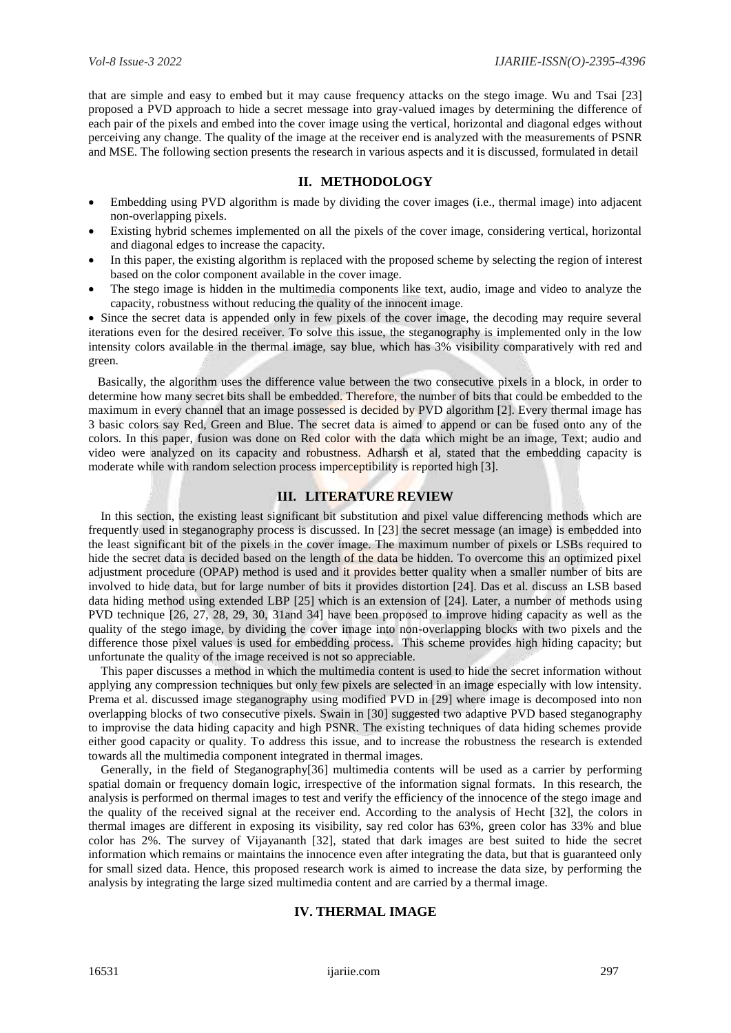that are simple and easy to embed but it may cause frequency attacks on the stego image. Wu and Tsai [23] proposed a PVD approach to hide a secret message into gray-valued images by determining the difference of each pair of the pixels and embed into the cover image using the vertical, horizontal and diagonal edges without perceiving any change. The quality of the image at the receiver end is analyzed with the measurements of PSNR and MSE. The following section presents the research in various aspects and it is discussed, formulated in detail

## **II. METHODOLOGY**

- Embedding using PVD algorithm is made by dividing the cover images (i.e., thermal image) into adjacent non-overlapping pixels.
- Existing hybrid schemes implemented on all the pixels of the cover image, considering vertical, horizontal and diagonal edges to increase the capacity.
- In this paper, the existing algorithm is replaced with the proposed scheme by selecting the region of interest based on the color component available in the cover image.
- The stego image is hidden in the multimedia components like text, audio, image and video to analyze the capacity, robustness without reducing the quality of the innocent image.

 Since the secret data is appended only in few pixels of the cover image, the decoding may require several iterations even for the desired receiver. To solve this issue, the steganography is implemented only in the low intensity colors available in the thermal image, say blue, which has 3% visibility comparatively with red and green.

 Basically, the algorithm uses the difference value between the two consecutive pixels in a block, in order to determine how many secret bits shall be embedded. Therefore, the number of bits that could be embedded to the maximum in every channel that an image possessed is decided by PVD algorithm [2]. Every thermal image has 3 basic colors say Red, Green and Blue. The secret data is aimed to append or can be fused onto any of the colors. In this paper, fusion was done on Red color with the data which might be an image, Text; audio and video were analyzed on its capacity and robustness. Adharsh et al, stated that the embedding capacity is moderate while with random selection process imperceptibility is reported high [3].

## **III. LITERATURE REVIEW**

In this section, the existing least significant bit substitution and pixel value differencing methods which are frequently used in steganography process is discussed. In [23] the secret message (an image) is embedded into the least significant bit of the pixels in the cover image. The maximum number of pixels or LSBs required to hide the secret data is decided based on the length of the data be hidden. To overcome this an optimized pixel adjustment procedure (OPAP) method is used and it provides better quality when a smaller number of bits are involved to hide data, but for large number of bits it provides distortion [24]. Das et al. discuss an LSB based data hiding method using extended LBP [25] which is an extension of [24]. Later, a number of methods using PVD technique [26, 27, 28, 29, 30, 31and 34] have been proposed to improve hiding capacity as well as the quality of the stego image, by dividing the cover image into non-overlapping blocks with two pixels and the difference those pixel values is used for embedding process. This scheme provides high hiding capacity; but unfortunate the quality of the image received is not so appreciable.

This paper discusses a method in which the multimedia content is used to hide the secret information without applying any compression techniques but only few pixels are selected in an image especially with low intensity. Prema et al. discussed image steganography using modified PVD in [29] where image is decomposed into non overlapping blocks of two consecutive pixels. Swain in [30] suggested two adaptive PVD based steganography to improvise the data hiding capacity and high PSNR. The existing techniques of data hiding schemes provide either good capacity or quality. To address this issue, and to increase the robustness the research is extended towards all the multimedia component integrated in thermal images.

Generally, in the field of Steganography[36] multimedia contents will be used as a carrier by performing spatial domain or frequency domain logic, irrespective of the information signal formats. In this research, the analysis is performed on thermal images to test and verify the efficiency of the innocence of the stego image and the quality of the received signal at the receiver end. According to the analysis of Hecht [32], the colors in thermal images are different in exposing its visibility, say red color has 63%, green color has 33% and blue color has 2%. The survey of Vijayananth [32], stated that dark images are best suited to hide the secret information which remains or maintains the innocence even after integrating the data, but that is guaranteed only for small sized data. Hence, this proposed research work is aimed to increase the data size, by performing the analysis by integrating the large sized multimedia content and are carried by a thermal image.

## **IV. THERMAL IMAGE**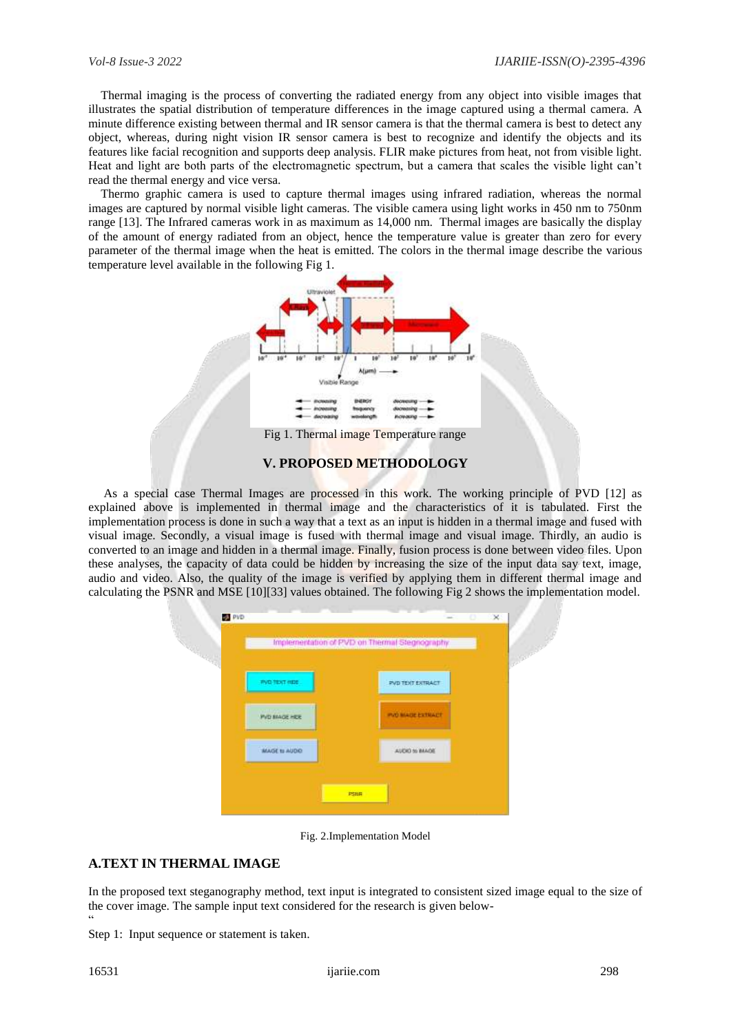Thermal imaging is the process of converting the radiated energy from any object into visible images that illustrates the spatial distribution of temperature differences in the image captured using a thermal camera. A minute difference existing between thermal and IR sensor camera is that the thermal camera is best to detect any object, whereas, during night vision IR sensor camera is best to recognize and identify the objects and its features like facial recognition and supports deep analysis. FLIR make pictures from heat, not from visible light. Heat and light are both parts of the electromagnetic spectrum, but a camera that scales the visible light can't read the thermal energy and vice versa.

Thermo graphic camera is used to capture thermal images using infrared radiation, whereas the normal images are captured by normal visible light cameras. The visible camera using light works in 450 nm to 750nm range [13]. The Infrared cameras work in as maximum as 14,000 nm. Thermal images are basically the display of the amount of energy radiated from an object, hence the temperature value is greater than zero for every parameter of the thermal image when the heat is emitted. The colors in the thermal image describe the various temperature level available in the following Fig 1.



Fig 1. Thermal image Temperature range

#### **V. PROPOSED METHODOLOGY**

 As a special case Thermal Images are processed in this work. The working principle of PVD [12] as explained above is implemented in thermal image and the characteristics of it is tabulated. First the implementation process is done in such a way that a text as an input is hidden in a thermal image and fused with visual image. Secondly, a visual image is fused with thermal image and visual image. Thirdly, an audio is converted to an image and hidden in a thermal image. Finally, fusion process is done between video files. Upon these analyses, the capacity of data could be hidden by increasing the size of the input data say text, image, audio and video. Also, the quality of the image is verified by applying them in different thermal image and calculating the PSNR and MSE [10][33] values obtained. The following Fig 2 shows the implementation model.



Fig. 2.Implementation Model

## **A.TEXT IN THERMAL IMAGE**

In the proposed text steganography method, text input is integrated to consistent sized image equal to the size of the cover image. The sample input text considered for the research is given below- "

Step 1: Input sequence or statement is taken.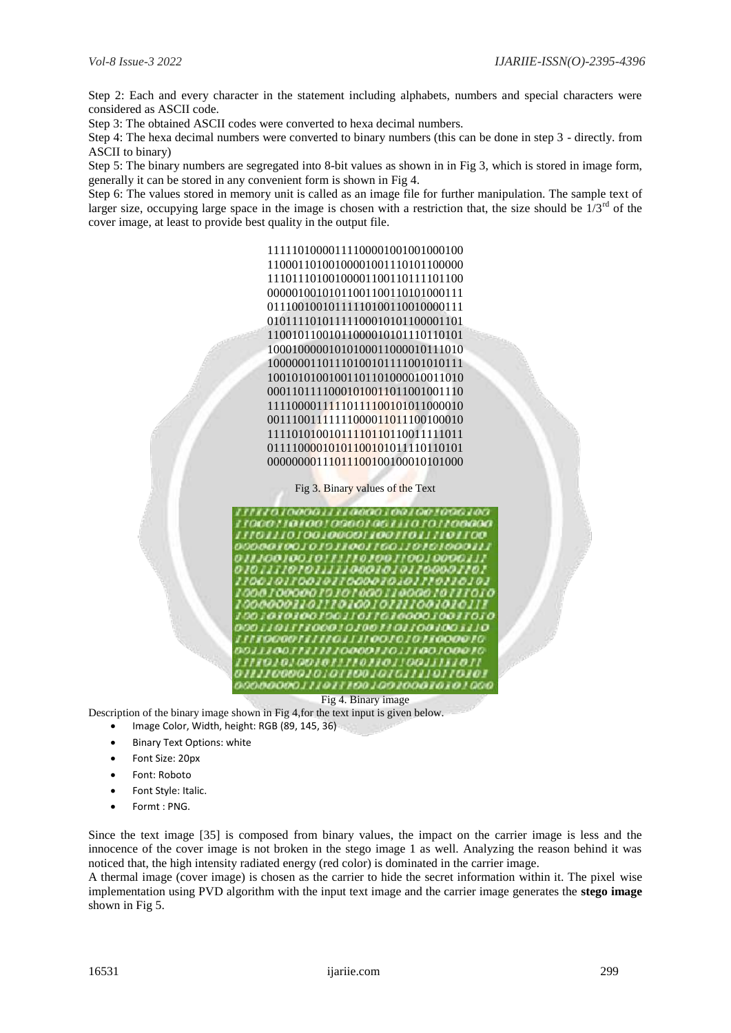Step 2: Each and every character in the statement including alphabets, numbers and special characters were considered as ASCII code.

Step 3: The obtained ASCII codes were converted to hexa decimal numbers.

Step 4: The hexa decimal numbers were converted to binary numbers (this can be done in step 3 - directly. from ASCII to binary)

Step 5: The binary numbers are segregated into 8-bit values as shown in in Fig 3, which is stored in image form, generally it can be stored in any convenient form is shown in Fig 4.

Step 6: The values stored in memory unit is called as an image file for further manipulation. The sample text of larger size, occupying large space in the image is chosen with a restriction that, the size should be  $1/3<sup>rd</sup>$  of the cover image, at least to provide best quality in the output file.

> > Fig 3. Binary values of the Text



Fig 4. Binary image

Description of the binary image shown in Fig 4,for the text input is given below.

- Image Color, Width, height: RGB (89, 145, 36)
- Binary Text Options: white
- Font Size: 20px
- Font: Roboto
- Font Style: Italic.
- Formt : PNG.

Since the text image [35] is composed from binary values, the impact on the carrier image is less and the innocence of the cover image is not broken in the stego image 1 as well. Analyzing the reason behind it was noticed that, the high intensity radiated energy (red color) is dominated in the carrier image.

A thermal image (cover image) is chosen as the carrier to hide the secret information within it. The pixel wise implementation using PVD algorithm with the input text image and the carrier image generates the **stego image**  shown in Fig 5.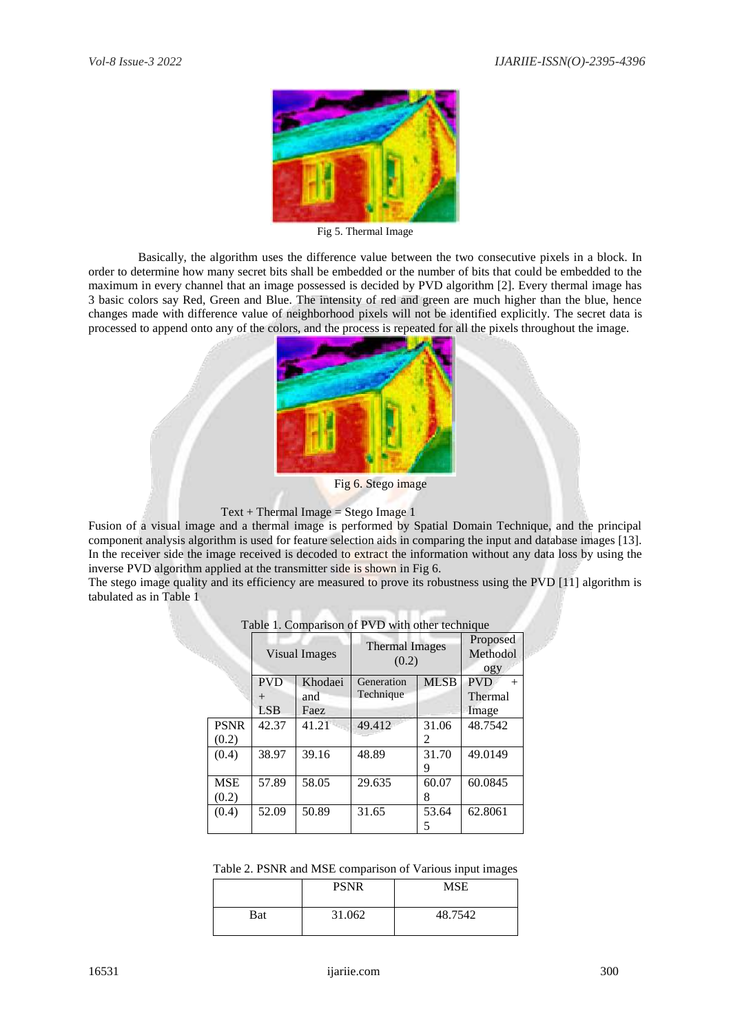

Fig 5. Thermal Image

Basically, the algorithm uses the difference value between the two consecutive pixels in a block. In order to determine how many secret bits shall be embedded or the number of bits that could be embedded to the maximum in every channel that an image possessed is decided by PVD algorithm [2]. Every thermal image has 3 basic colors say Red, Green and Blue. The intensity of red and green are much higher than the blue, hence changes made with difference value of neighborhood pixels will not be identified explicitly. The secret data is processed to append onto any of the colors, and the process is repeated for all the pixels throughout the image.



Fig 6. Stego image

#### $Text + Thermal Image = Stego Image 1$

Fusion of a visual image and a thermal image is performed by Spatial Domain Technique, and the principal component analysis algorithm is used for feature selection aids in comparing the input and database images [13]. In the receiver side the image received is decoded to extract the information without any data loss by using the inverse PVD algorithm applied at the transmitter side is shown in Fig 6.

The stego image quality and its efficiency are measured to prove its robustness using the PVD [11] algorithm is tabulated as in Table 1

|             |            | Visual Images | <b>Thermal Images</b><br>(0.2) |                             | Proposed<br>Methodol<br>ogy |
|-------------|------------|---------------|--------------------------------|-----------------------------|-----------------------------|
|             | <b>PVD</b> | Khodaei       | Generation                     | <b>MLSB</b>                 | <b>PVD</b><br>$^{+}$        |
|             | $^{+}$     | and           | Technique                      |                             | Thermal                     |
|             | <b>LSB</b> | Faez          |                                |                             | Image                       |
| <b>PSNR</b> | 42.37      | 41.21         | 49.412                         | 31.06                       | 48.7542                     |
| (0.2)       |            |               |                                | $\mathcal{D}_{\mathcal{L}}$ |                             |
| (0.4)       | 38.97      | 39.16         | 48.89                          | 31.70                       | 49.0149                     |
|             |            |               |                                | 9                           |                             |
| <b>MSE</b>  | 57.89      | 58.05         | 29.635                         | 60.07                       | 60.0845                     |
| (0.2)       |            |               |                                | 8                           |                             |
| (0.4)       | 52.09      | 50.89         | 31.65                          | 53.64                       | 62.8061                     |
|             |            |               |                                | 5                           |                             |

Table 1. Comparison of PVD with other technique

| Table 2. PSNR and MSE comparison of Various input images |  |  |  |  |  |
|----------------------------------------------------------|--|--|--|--|--|
|----------------------------------------------------------|--|--|--|--|--|

|     | <b>PSNR</b> | <b>MSE</b> |
|-----|-------------|------------|
| Bat | 31.062      | 48.7542    |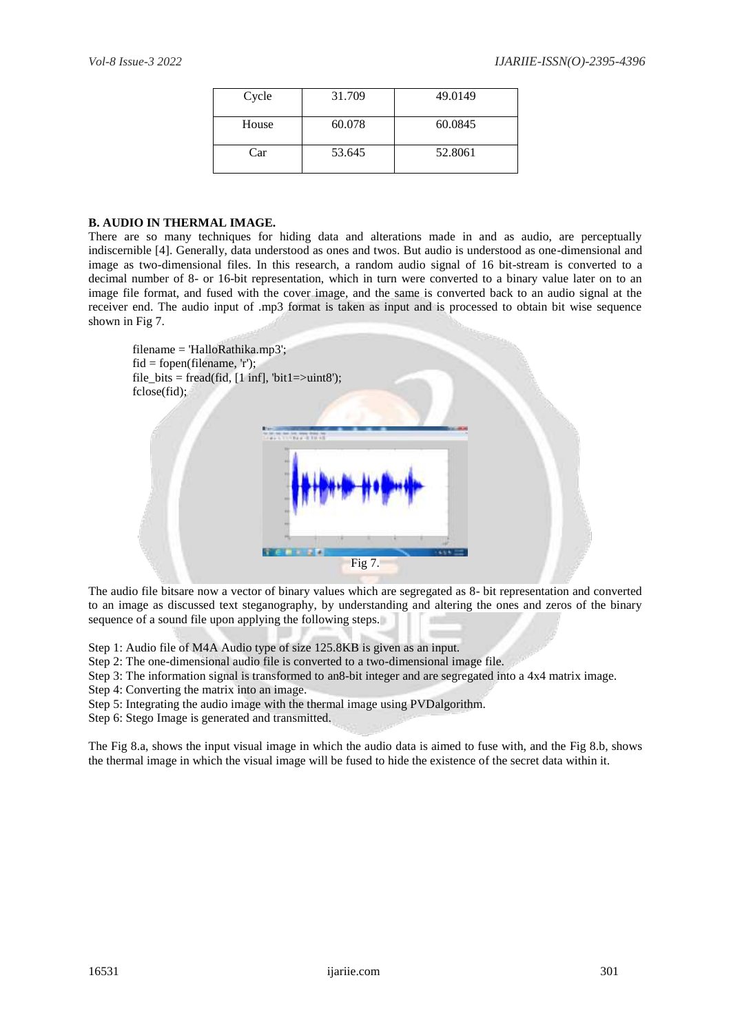| Cycle | 31.709 | 49.0149 |
|-------|--------|---------|
| House | 60.078 | 60.0845 |
| Car   | 53.645 | 52.8061 |

## **B. AUDIO IN THERMAL IMAGE.**

There are so many techniques for hiding data and alterations made in and as audio, are perceptually indiscernible [4]. Generally, data understood as ones and twos. But audio is understood as one-dimensional and image as two-dimensional files. In this research, a random audio signal of 16 bit-stream is converted to a decimal number of 8- or 16-bit representation, which in turn were converted to a binary value later on to an image file format, and fused with the cover image, and the same is converted back to an audio signal at the receiver end. The audio input of .mp3 format is taken as input and is processed to obtain bit wise sequence shown in Fig 7.



The audio file bitsare now a vector of binary values which are segregated as 8- bit representation and converted to an image as discussed text steganography, by understanding and altering the ones and zeros of the binary sequence of a sound file upon applying the following steps.

Step 1: Audio file of M4A Audio type of size 125.8KB is given as an input.

- Step 2: The one-dimensional audio file is converted to a two-dimensional image file.
- Step 3: The information signal is transformed to an8-bit integer and are segregated into a 4x4 matrix image.

Step 4: Converting the matrix into an image.

Step 5: Integrating the audio image with the thermal image using PVDalgorithm.

Step 6: Stego Image is generated and transmitted.

The Fig 8.a, shows the input visual image in which the audio data is aimed to fuse with, and the Fig 8.b, shows the thermal image in which the visual image will be fused to hide the existence of the secret data within it.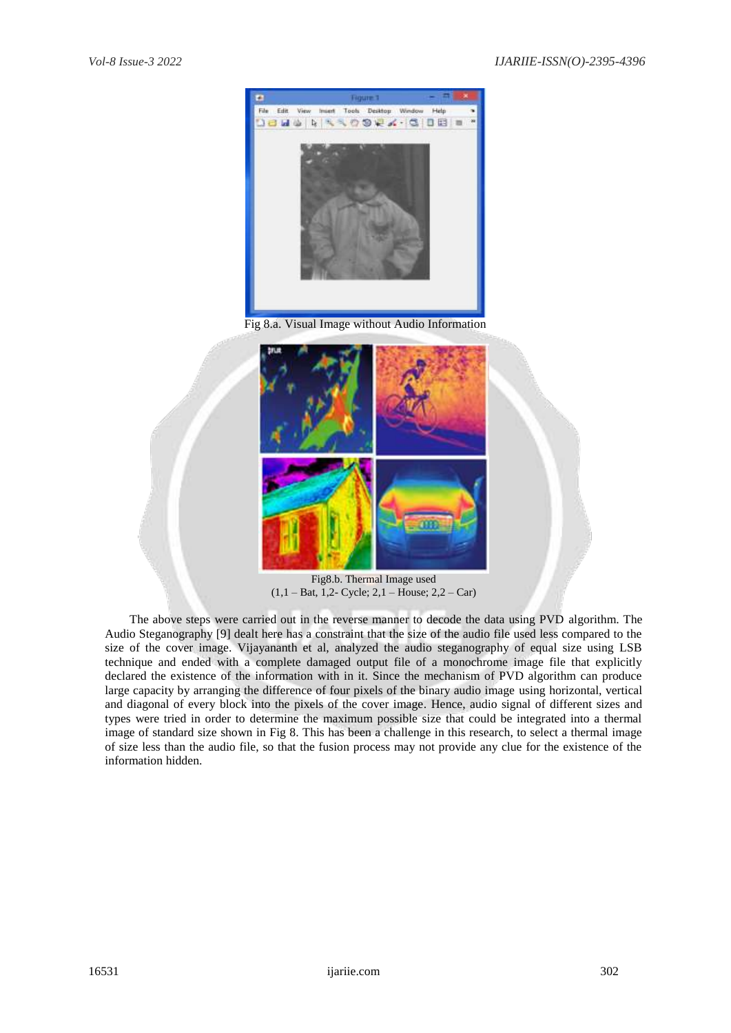

Fig 8.a. Visual Image without Audio Information



Fig8.b. Thermal Image used (1,1 – Bat, 1,2- Cycle; 2,1 – House; 2,2 – Car)

 The above steps were carried out in the reverse manner to decode the data using PVD algorithm. The Audio Steganography [9] dealt here has a constraint that the size of the audio file used less compared to the size of the cover image. Vijayananth et al, analyzed the audio steganography of equal size using LSB technique and ended with a complete damaged output file of a monochrome image file that explicitly declared the existence of the information with in it. Since the mechanism of PVD algorithm can produce large capacity by arranging the difference of four pixels of the binary audio image using horizontal, vertical and diagonal of every block into the pixels of the cover image. Hence, audio signal of different sizes and types were tried in order to determine the maximum possible size that could be integrated into a thermal image of standard size shown in Fig 8. This has been a challenge in this research, to select a thermal image of size less than the audio file, so that the fusion process may not provide any clue for the existence of the information hidden.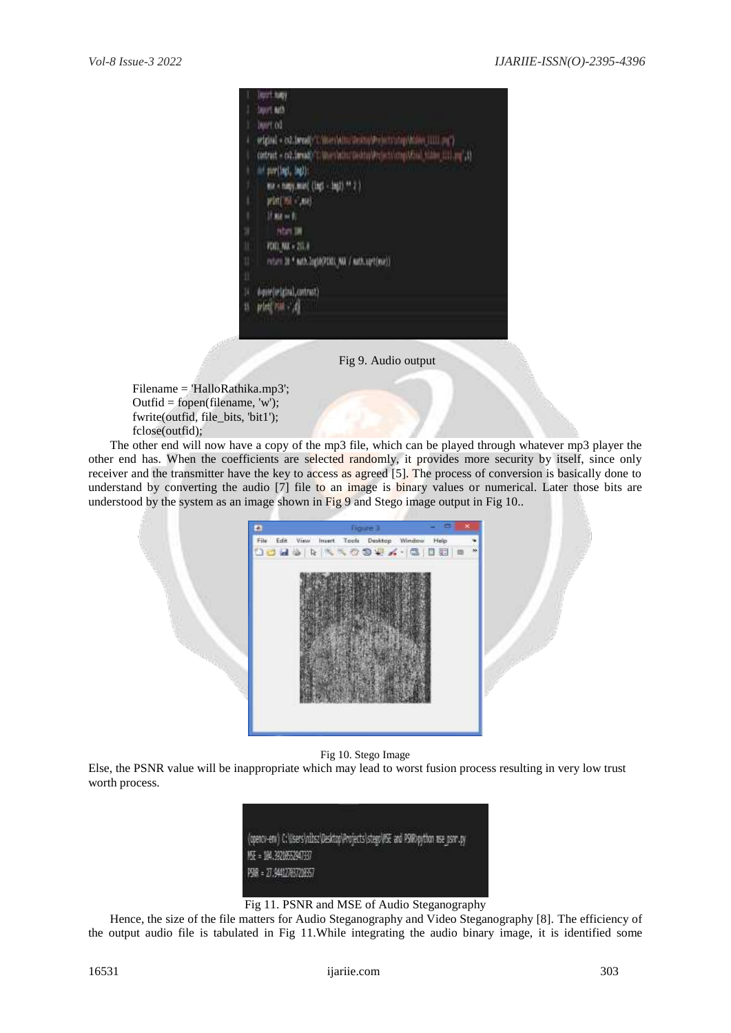|    | lent tuty                                                               |
|----|-------------------------------------------------------------------------|
|    | <b>Sourt 64th</b>                                                       |
|    | <b>INVE OZ</b>                                                          |
| ı  | wiginal + collimatic C Wresh for Seriou Principal and Maler (IIII and ) |
|    | (etrat - cd.imas) Cunerishing-ship system (the him illing it            |
| ł. | int partingly ingles                                                    |
| 1  | me = naty, min( (lap) - lap) ** 2.)                                     |
| I  | print (961 - 414)                                                       |
| ï  | $If$ $A A = B$                                                          |
| 3Ì | Non IN                                                                  |
| U. | <b>PDD NX + 251.8</b>                                                   |
| u  | veters 28.9 mith.login(PDIC) NA / mith.spt(me))                         |
| Ü  |                                                                         |
| μ  | digite (original, contrast)                                             |
| y, | prieti visit - 14                                                       |
|    |                                                                         |

Fig 9. Audio output

Filename = 'HalloRathika.mp3'; Outfid = fopen(filename, 'w'); fwrite(outfid, file\_bits, 'bit1'); fclose(outfid);

 The other end will now have a copy of the mp3 file, which can be played through whatever mp3 player the other end has. When the coefficients are selected randomly, it provides more security by itself, since only receiver and the transmitter have the key to access as agreed [5]. The process of conversion is basically done to understand by converting the audio [7] file to an image is binary values or numerical. Later those bits are understood by the system as an image shown in Fig 9 and Stego image output in Fig 10..



Fig 10. Stego Image

Else, the PSNR value will be inappropriate which may lead to worst fusion process resulting in very low trust worth process.



Fig 11. PSNR and MSE of Audio Steganography

 Hence, the size of the file matters for Audio Steganography and Video Steganography [8]. The efficiency of the output audio file is tabulated in Fig 11.While integrating the audio binary image, it is identified some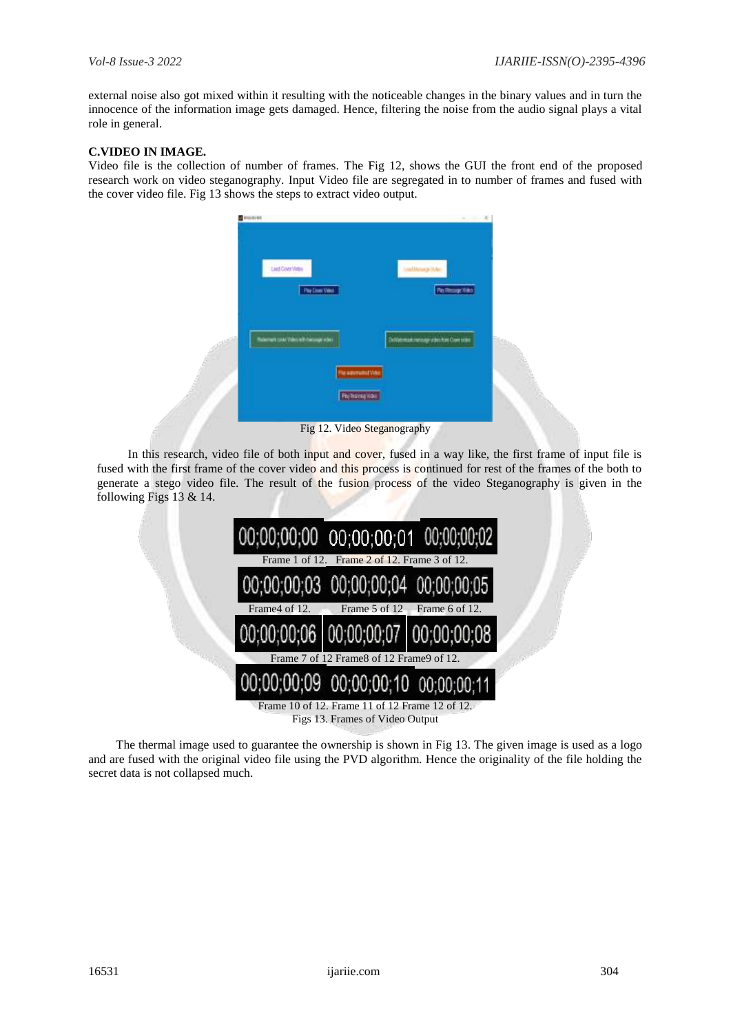external noise also got mixed within it resulting with the noticeable changes in the binary values and in turn the innocence of the information image gets damaged. Hence, filtering the noise from the audio signal plays a vital role in general.

## **C.VIDEO IN IMAGE.**

Video file is the collection of number of frames. The Fig 12, shows the GUI the front end of the proposed research work on video steganography. Input Video file are segregated in to number of frames and fused with the cover video file. Fig 13 shows the steps to extract video output.



Fig 12. Video Steganography

 In this research, video file of both input and cover, fused in a way like, the first frame of input file is fused with the first frame of the cover video and this process is continued for rest of the frames of the both to generate a stego video file. The result of the fusion process of the video Steganography is given in the following Figs 13 & 14.



 The thermal image used to guarantee the ownership is shown in Fig 13. The given image is used as a logo and are fused with the original video file using the PVD algorithm. Hence the originality of the file holding the secret data is not collapsed much.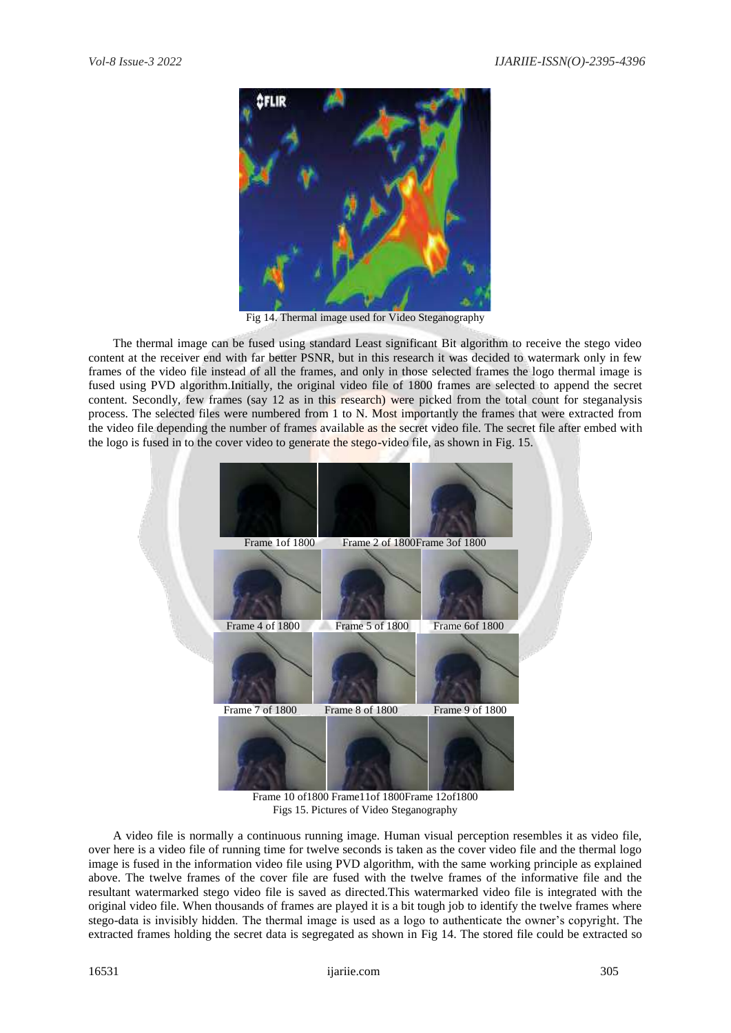

Fig 14. Thermal image used for Video Steganography

 The thermal image can be fused using standard Least significant Bit algorithm to receive the stego video content at the receiver end with far better PSNR, but in this research it was decided to watermark only in few frames of the video file instead of all the frames, and only in those selected frames the logo thermal image is fused using PVD algorithm.Initially, the original video file of 1800 frames are selected to append the secret content. Secondly, few frames (say 12 as in this research) were picked from the total count for steganalysis process. The selected files were numbered from 1 to N. Most importantly the frames that were extracted from the video file depending the number of frames available as the secret video file. The secret file after embed with the logo is fused in to the cover video to generate the stego-video file, as shown in Fig. 15.



Frame 10 of1800 Frame11of 1800Frame 12of1800 Figs 15. Pictures of Video Steganography

 A video file is normally a continuous running image. Human visual perception resembles it as video file, over here is a video file of running time for twelve seconds is taken as the cover video file and the thermal logo image is fused in the information video file using PVD algorithm, with the same working principle as explained above. The twelve frames of the cover file are fused with the twelve frames of the informative file and the resultant watermarked stego video file is saved as directed.This watermarked video file is integrated with the original video file. When thousands of frames are played it is a bit tough job to identify the twelve frames where stego-data is invisibly hidden. The thermal image is used as a logo to authenticate the owner's copyright. The extracted frames holding the secret data is segregated as shown in Fig 14. The stored file could be extracted so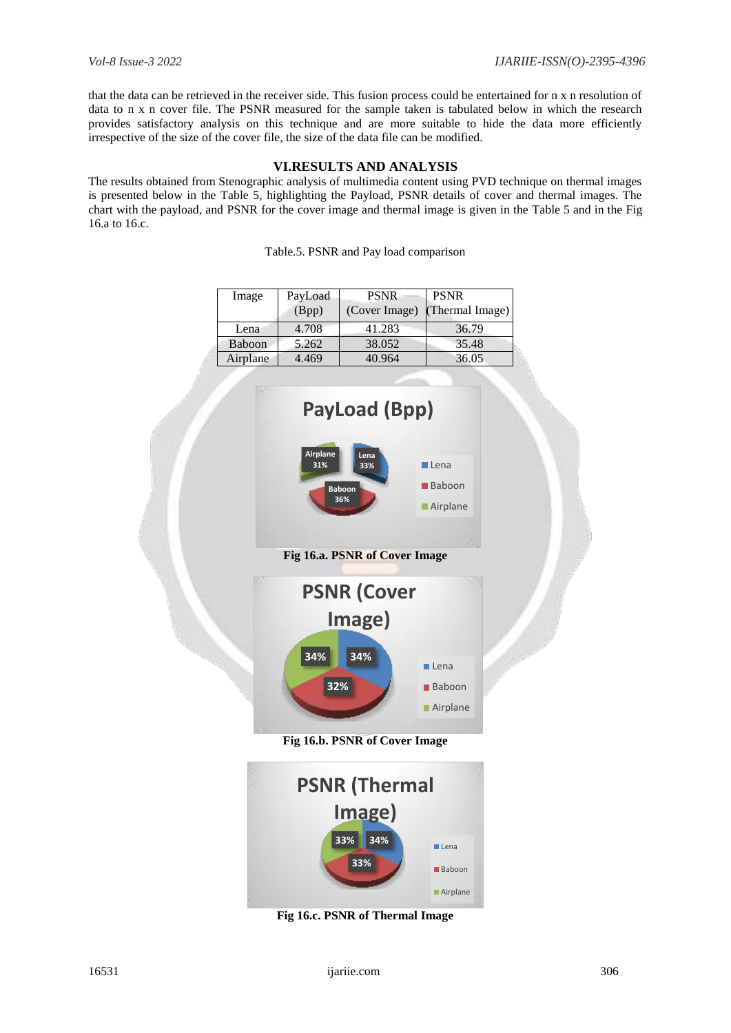that the data can be retrieved in the receiver side. This fusion process could be entertained for n x n resolution of data to n x n cover file. The PSNR measured for the sample taken is tabulated below in which the research provides satisfactory analysis on this technique and are more suitable to hide the data more efficiently irrespective of the size of the cover file, the size of the data file can be modified.

# **VI.RESULTS AND ANALYSIS**

The results obtained from Stenographic analysis of multimedia content using PVD technique on thermal images is presented below in the Table 5, highlighting the Payload, PSNR details of cover and thermal images. The chart with the payload, and PSNR for the cover image and thermal image is given in the Table 5 and in the Fig 16.a to 16.c.

Table.5. PSNR and Pay load comparison

| Image    | PayLoad<br>(Bpp) | <b>PSNR</b><br>(Cover Image) | <b>PSNR</b><br>(Thermal Image) |
|----------|------------------|------------------------------|--------------------------------|
| Lena     | 4.708            | 41.283                       | 36.79                          |
| Baboon   | 5.262            | 38.052                       | 35.48                          |
| Airplane | 4.469            | 40.964                       | 36.05                          |





**Fig 16.c. PSNR of Thermal Image**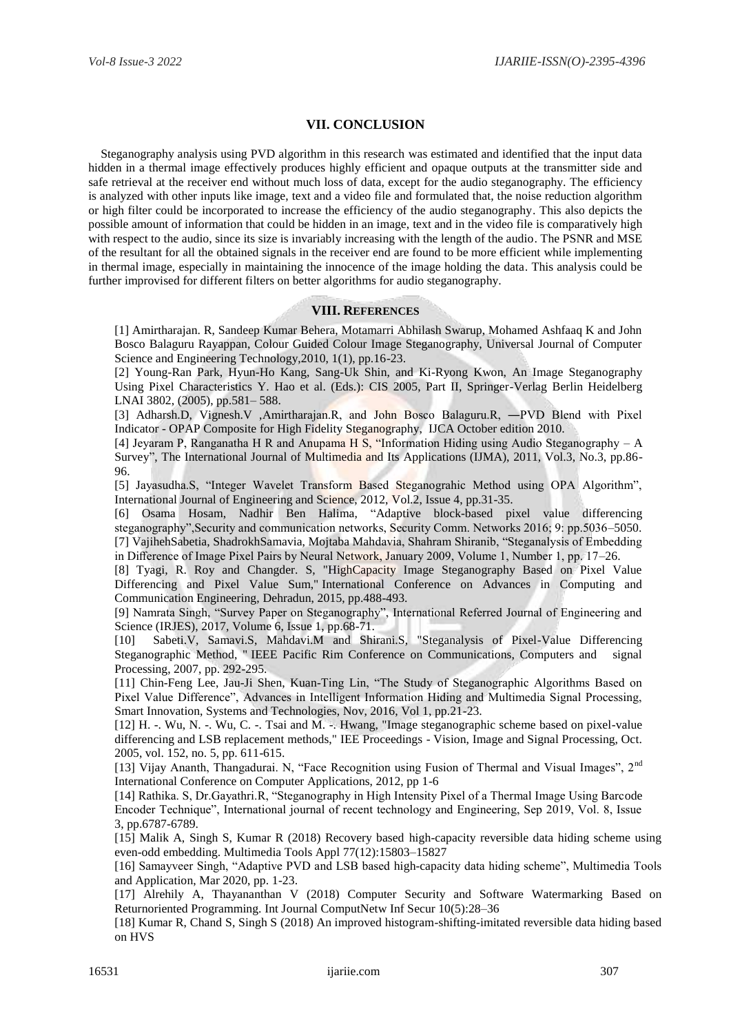# **VII. CONCLUSION**

Steganography analysis using PVD algorithm in this research was estimated and identified that the input data hidden in a thermal image effectively produces highly efficient and opaque outputs at the transmitter side and safe retrieval at the receiver end without much loss of data, except for the audio steganography. The efficiency is analyzed with other inputs like image, text and a video file and formulated that, the noise reduction algorithm or high filter could be incorporated to increase the efficiency of the audio steganography. This also depicts the possible amount of information that could be hidden in an image, text and in the video file is comparatively high with respect to the audio, since its size is invariably increasing with the length of the audio. The PSNR and MSE of the resultant for all the obtained signals in the receiver end are found to be more efficient while implementing in thermal image, especially in maintaining the innocence of the image holding the data. This analysis could be further improvised for different filters on better algorithms for audio steganography.

## **VIII. REFERENCES**

[1] Amirtharajan. R, Sandeep Kumar Behera, Motamarri Abhilash Swarup, Mohamed Ashfaaq K and John Bosco Balaguru Rayappan, Colour Guided Colour Image Steganography, Universal Journal of Computer Science and Engineering Technology, 2010, 1(1), pp.16-23.

[2] Young-Ran Park, Hyun-Ho Kang, Sang-Uk Shin, and Ki-Ryong Kwon, An Image Steganography Using Pixel Characteristics Y. Hao et al. (Eds.): CIS 2005, Part II, Springer-Verlag Berlin Heidelberg LNAI 3802, (2005), pp.581– 588.

[3] Adharsh.D, Vignesh.V ,Amirtharajan.R, and John Bosco Balaguru.R, -PVD Blend with Pixel Indicator - OPAP Composite for High Fidelity Steganography, IJCA October edition 2010.

[4] Jeyaram P, Ranganatha H R and Anupama H S, "Information Hiding using Audio Steganography – A Survey", The International Journal of Multimedia and Its Applications (IJMA), 2011, Vol.3, No.3, pp.86- 96.

[5] Jayasudha.S, "Integer Wavelet Transform Based Steganograhic Method using OPA Algorithm", International Journal of Engineering and Science, 2012, Vol.2, Issue 4, pp.31-35.

[6] Osama Hosam, Nadhir Ben Halima, "Adaptive block-based pixel value differencing steganography",Security and communication networks, Security Comm. Networks 2016; 9: pp.5036–5050. [7] VajihehSabetia, ShadrokhSamavia, Mojtaba Mahdavia, Shahram Shiranib, "Steganalysis of Embedding in Difference of Image Pixel Pairs by Neural Network, January 2009, Volume 1, Number 1, pp. 17–26.

[8] Tyagi, R. Roy and Changder. S, "HighCapacity Image Steganography Based on Pixel Value Differencing and Pixel Value Sum," International Conference on Advances in Computing and Communication Engineering, Dehradun, 2015, pp.488-493.

[9] Namrata Singh, "Survey Paper on Steganography", International Referred Journal of Engineering and Science (IRJES), 2017, Volume 6, Issue 1, pp.68-71.

[10] Sabeti.V, Samavi.S, Mahdavi.M and Shirani.S, "Steganalysis of Pixel-Value Differencing Steganographic Method, " IEEE Pacific Rim Conference on Communications, Computers and signal Processing, 2007, pp. 292-295.

[11] Chin-Feng Lee, Jau-Ji Shen, Kuan-Ting Lin, "The Study of Steganographic Algorithms Based on Pixel Value Difference", Advances in Intelligent Information Hiding and Multimedia Signal Processing, Smart Innovation, Systems and Technologies, Nov, 2016, Vol 1, pp.21-23.

[12] H. -. Wu, N. -. Wu, C. -. Tsai and M. -. Hwang, "Image steganographic scheme based on pixel-value differencing and LSB replacement methods," IEE Proceedings - Vision, Image and Signal Processing, Oct. 2005, vol. 152, no. 5, pp. 611-615.

[13] Vijay Ananth, Thangadurai. N, "Face Recognition using Fusion of Thermal and Visual Images", 2<sup>nd</sup> International Conference on Computer Applications, 2012, pp 1-6

[14] Rathika. S, Dr.Gayathri.R, "Steganography in High Intensity Pixel of a Thermal Image Using Barcode Encoder Technique", International journal of recent technology and Engineering, Sep 2019, Vol. 8, Issue 3, pp.6787-6789.

[15] Malik A, Singh S, Kumar R (2018) Recovery based high-capacity reversible data hiding scheme using even-odd embedding. Multimedia Tools Appl 77(12):15803–15827

[16] Samayveer Singh, "Adaptive PVD and LSB based high-capacity data hiding scheme", Multimedia Tools and Application, Mar 2020, pp. 1-23.

[17] Alrehily A, Thayananthan V (2018) Computer Security and Software Watermarking Based on Returnoriented Programming. Int Journal ComputNetw Inf Secur 10(5):28–36

[18] Kumar R, Chand S, Singh S (2018) An improved histogram-shifting-imitated reversible data hiding based on HVS